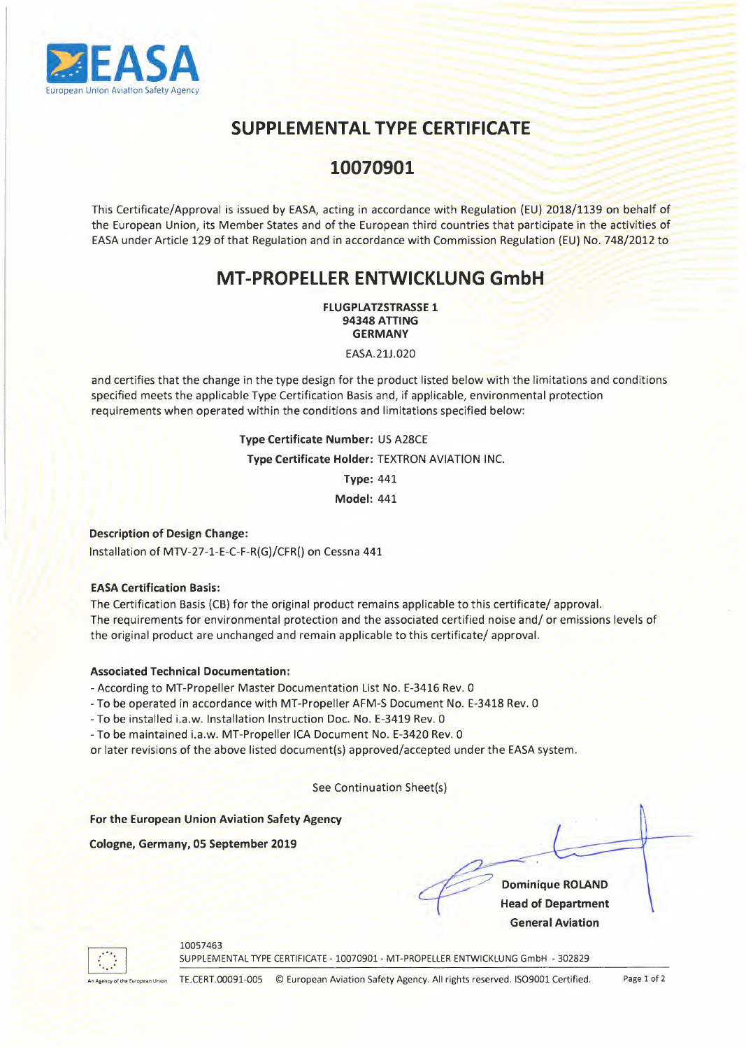

# **SUPPLEMENTAL TYPE CERTIFICATE**

- 018/1139 on behalf of<br>
018/1139 on behalf of<br>
pate in the activities of 9 on behalf of<br>Paractivities of<br>D. 748/2012 to NTAL TYPE CERTIFICATE<br>10070901<br>tting in accordance with Regulation (EU) 2018/1139 on behalf of 2018/1139 on b<br>
2018/1139 on b<br>
cipate in the acti and the contract of the same state of the contract of the contract of the contract of the contract of the contract of the contract of the contract of the contract of the contract of the contract of the contract of the cont This Certificate/Approval is issued by EASA, acting in accordance with Regulation (EU) 2018/1139 on behalf of the European Union, its Member States and of the European third countries that participate in the activities of EASA under Article 129 of that Regulation and in accordance with Commission Regulation (EU) No. 748/2012 to

# **MT-PROPELLER ENTWICKLUNG GmbH**

**FLUGPLATZSTRASSE 1 94348 ATTING GERMANY** 

EASA.21J.020

and certifies that the change in the type design for the product listed below with the limitations and conditions specified meets the applicable Type Certification Basis and, if applicable, environmental protection requirements when operated within the conditions and limitations specified below:

> **Type Certificate Number:** US A28CE **Type Certificate Holder:** TEXTRON AVIATION INC. **Type:** 441

**Model:** 441

## **Description of Design Change:**

Installation of MTV-27-1-E-C-F-R(G)/CFR() on Cessna 441

## **EASA Certification Basis:**

The Certification Basis (CB) for the original product remains applicable to this certificate/ approval. The requirements for environmental protection and the associated certified noise and/ or emissions levels of the original product are unchanged and remain applicable to this certificate/ approval.

### **Associated Technical Documentation:**

-According to MT-Propeller Master Documentation List No. E-3416 Rev. 0

- To be operated in accordance with MT-Propeller AFM-S Document No. E-3418 Rev. 0

-To be installed i.a.w. Installation Instruction Doc. No. E-3419 Rev. O

-To be maintained i.a.w. MT-Propeller ICA Document No. E-3420 Rev. 0

or later revisions of the above listed document(s) approved/accepted under the EASA system.

See Continuation Sheet(s)

**For the European Union Aviation Safety Agency** 

**Cologne, Germany, OS September 2019** 

10057463

**Dominique ROLAND Head of Department General Aviation** 



SUPPLEMENTAL TYPE CERTIFICATE - 10070901 - MT-PROPELLER ENTWICKLUNG GmbH - 302829